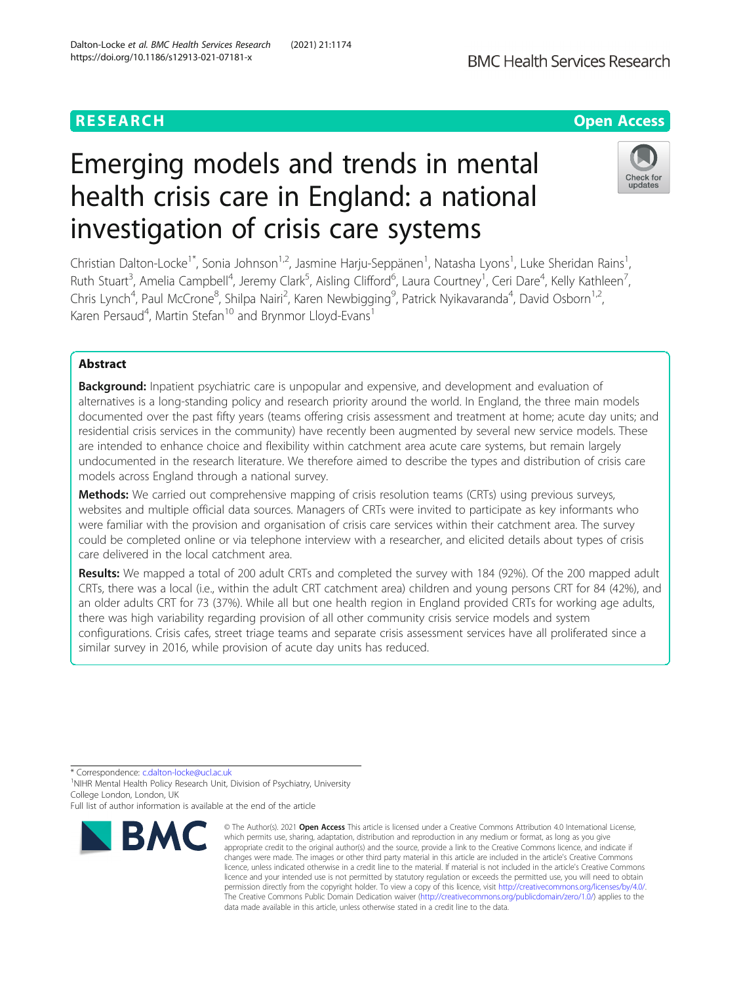Dalton-Locke et al. BMC Health Services Research (2021) 21:1174

https://doi.org/10.1186/s12913-021-07181-x



# health crisis care in England: a national investigation of crisis care systems

Christian Dalton-Locke<sup>1\*</sup>, Sonia Johnson<sup>1,2</sup>, Jasmine Harju-Seppänen<sup>1</sup>, Natasha Lyons<sup>1</sup>, Luke Sheridan Rains<sup>1</sup> , Ruth Stuart<sup>3</sup>, Amelia Campbell<sup>4</sup>, Jeremy Clark<sup>5</sup>, Aisling Clifford<sup>6</sup>, Laura Courtney<sup>1</sup>, Ceri Dare<sup>4</sup>, Kelly Kathleen<sup>7</sup> , Chris Lynch<sup>4</sup>, Paul McCrone<sup>8</sup>, Shilpa Nairi<sup>2</sup>, Karen Newbigging<sup>9</sup>, Patrick Nyikavaranda<sup>4</sup>, David Osborn<sup>1,2</sup>, Karen Persaud<sup>4</sup>, Martin Stefan<sup>10</sup> and Brynmor Lloyd-Evans<sup>1</sup>

# Abstract

**Background:** Inpatient psychiatric care is unpopular and expensive, and development and evaluation of alternatives is a long-standing policy and research priority around the world. In England, the three main models documented over the past fifty years (teams offering crisis assessment and treatment at home; acute day units; and residential crisis services in the community) have recently been augmented by several new service models. These are intended to enhance choice and flexibility within catchment area acute care systems, but remain largely undocumented in the research literature. We therefore aimed to describe the types and distribution of crisis care models across England through a national survey.

Methods: We carried out comprehensive mapping of crisis resolution teams (CRTs) using previous surveys, websites and multiple official data sources. Managers of CRTs were invited to participate as key informants who were familiar with the provision and organisation of crisis care services within their catchment area. The survey could be completed online or via telephone interview with a researcher, and elicited details about types of crisis care delivered in the local catchment area.

Results: We mapped a total of 200 adult CRTs and completed the survey with 184 (92%). Of the 200 mapped adult CRTs, there was a local (i.e., within the adult CRT catchment area) children and young persons CRT for 84 (42%), and an older adults CRT for 73 (37%). While all but one health region in England provided CRTs for working age adults, there was high variability regarding provision of all other community crisis service models and system configurations. Crisis cafes, street triage teams and separate crisis assessment services have all proliferated since a similar survey in 2016, while provision of acute day units has reduced.

\* Correspondence: [c.dalton-locke@ucl.ac.uk](mailto:c.dalton-locke@ucl.ac.uk) <sup>1</sup>

<sup>1</sup>NIHR Mental Health Policy Research Unit, Division of Psychiatry, University College London, London, UK

Full list of author information is available at the end of the article



<sup>©</sup> The Author(s), 2021 **Open Access** This article is licensed under a Creative Commons Attribution 4.0 International License, which permits use, sharing, adaptation, distribution and reproduction in any medium or format, as long as you give appropriate credit to the original author(s) and the source, provide a link to the Creative Commons licence, and indicate if changes were made. The images or other third party material in this article are included in the article's Creative Commons licence, unless indicated otherwise in a credit line to the material. If material is not included in the article's Creative Commons licence and your intended use is not permitted by statutory regulation or exceeds the permitted use, you will need to obtain permission directly from the copyright holder. To view a copy of this licence, visit [http://creativecommons.org/licenses/by/4.0/.](http://creativecommons.org/licenses/by/4.0/) The Creative Commons Public Domain Dedication waiver [\(http://creativecommons.org/publicdomain/zero/1.0/](http://creativecommons.org/publicdomain/zero/1.0/)) applies to the data made available in this article, unless otherwise stated in a credit line to the data.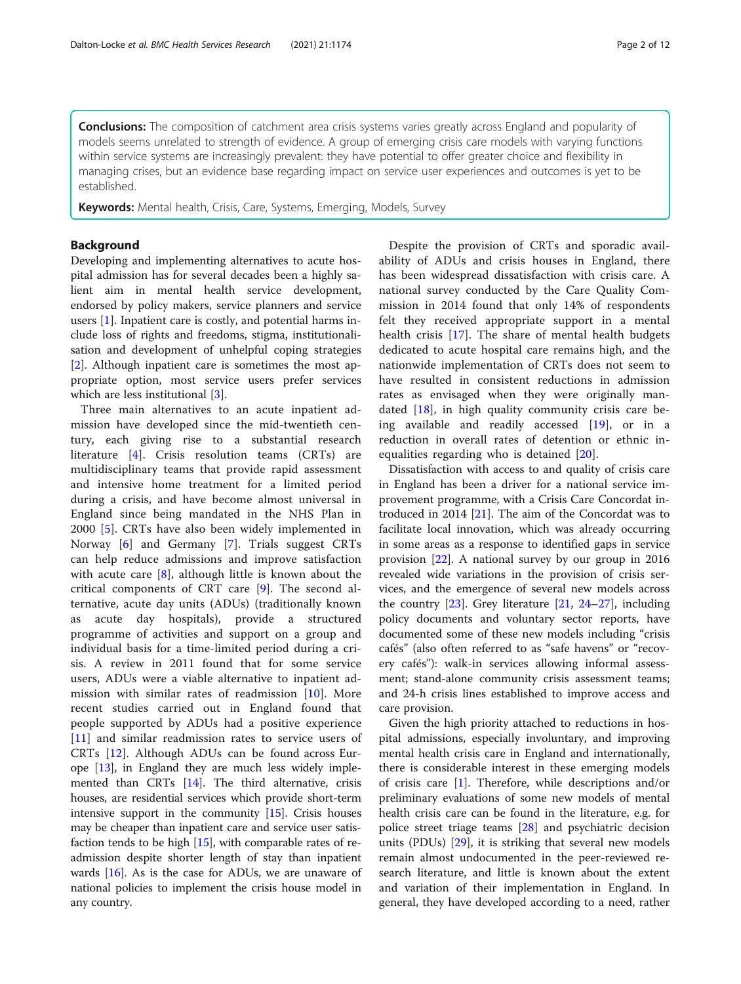**Conclusions:** The composition of catchment area crisis systems varies greatly across England and popularity of models seems unrelated to strength of evidence. A group of emerging crisis care models with varying functions within service systems are increasingly prevalent: they have potential to offer greater choice and flexibility in managing crises, but an evidence base regarding impact on service user experiences and outcomes is yet to be established.

Keywords: Mental health, Crisis, Care, Systems, Emerging, Models, Survey

# Background

Developing and implementing alternatives to acute hospital admission has for several decades been a highly salient aim in mental health service development, endorsed by policy makers, service planners and service users [[1\]](#page-10-0). Inpatient care is costly, and potential harms include loss of rights and freedoms, stigma, institutionalisation and development of unhelpful coping strategies [[2\]](#page-10-0). Although inpatient care is sometimes the most appropriate option, most service users prefer services which are less institutional [\[3](#page-10-0)].

Three main alternatives to an acute inpatient admission have developed since the mid-twentieth century, each giving rise to a substantial research literature [\[4](#page-10-0)]. Crisis resolution teams (CRTs) are multidisciplinary teams that provide rapid assessment and intensive home treatment for a limited period during a crisis, and have become almost universal in England since being mandated in the NHS Plan in 2000 [[5](#page-10-0)]. CRTs have also been widely implemented in Norway [[6\]](#page-10-0) and Germany [[7](#page-10-0)]. Trials suggest CRTs can help reduce admissions and improve satisfaction with acute care [\[8](#page-10-0)], although little is known about the critical components of CRT care [\[9](#page-10-0)]. The second alternative, acute day units (ADUs) (traditionally known as acute day hospitals), provide a structured programme of activities and support on a group and individual basis for a time-limited period during a crisis. A review in 2011 found that for some service users, ADUs were a viable alternative to inpatient admission with similar rates of readmission [\[10](#page-10-0)]. More recent studies carried out in England found that people supported by ADUs had a positive experience [[11\]](#page-10-0) and similar readmission rates to service users of CRTs [\[12](#page-10-0)]. Although ADUs can be found across Europe [\[13\]](#page-10-0), in England they are much less widely implemented than CRTs [\[14\]](#page-10-0). The third alternative, crisis houses, are residential services which provide short-term intensive support in the community [\[15](#page-10-0)]. Crisis houses may be cheaper than inpatient care and service user satisfaction tends to be high [[15](#page-10-0)], with comparable rates of readmission despite shorter length of stay than inpatient wards [\[16\]](#page-10-0). As is the case for ADUs, we are unaware of national policies to implement the crisis house model in any country.

Despite the provision of CRTs and sporadic availability of ADUs and crisis houses in England, there has been widespread dissatisfaction with crisis care. A national survey conducted by the Care Quality Commission in 2014 found that only 14% of respondents felt they received appropriate support in a mental health crisis [[17\]](#page-10-0). The share of mental health budgets dedicated to acute hospital care remains high, and the nationwide implementation of CRTs does not seem to have resulted in consistent reductions in admission rates as envisaged when they were originally mandated [[18\]](#page-10-0), in high quality community crisis care being available and readily accessed [[19\]](#page-10-0), or in a reduction in overall rates of detention or ethnic inequalities regarding who is detained [[20\]](#page-10-0).

Dissatisfaction with access to and quality of crisis care in England has been a driver for a national service improvement programme, with a Crisis Care Concordat introduced in 2014 [[21\]](#page-10-0). The aim of the Concordat was to facilitate local innovation, which was already occurring in some areas as a response to identified gaps in service provision [[22\]](#page-10-0). A national survey by our group in 2016 revealed wide variations in the provision of crisis services, and the emergence of several new models across the country  $[23]$  $[23]$ . Grey literature  $[21, 24-27]$  $[21, 24-27]$  $[21, 24-27]$  $[21, 24-27]$  $[21, 24-27]$ , including policy documents and voluntary sector reports, have documented some of these new models including "crisis cafés" (also often referred to as "safe havens" or "recovery cafés"): walk-in services allowing informal assessment; stand-alone community crisis assessment teams; and 24-h crisis lines established to improve access and care provision.

Given the high priority attached to reductions in hospital admissions, especially involuntary, and improving mental health crisis care in England and internationally, there is considerable interest in these emerging models of crisis care [\[1\]](#page-10-0). Therefore, while descriptions and/or preliminary evaluations of some new models of mental health crisis care can be found in the literature, e.g. for police street triage teams [[28\]](#page-10-0) and psychiatric decision units (PDUs) [\[29](#page-10-0)], it is striking that several new models remain almost undocumented in the peer-reviewed research literature, and little is known about the extent and variation of their implementation in England. In general, they have developed according to a need, rather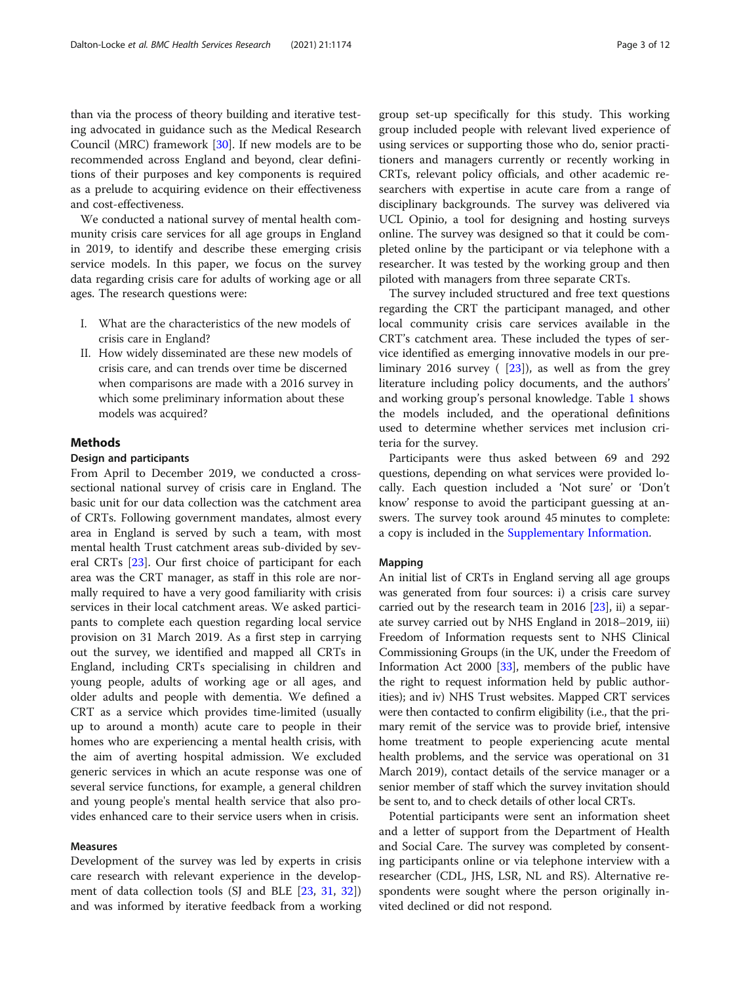than via the process of theory building and iterative testing advocated in guidance such as the Medical Research Council (MRC) framework [[30\]](#page-11-0). If new models are to be recommended across England and beyond, clear definitions of their purposes and key components is required as a prelude to acquiring evidence on their effectiveness and cost-effectiveness.

We conducted a national survey of mental health community crisis care services for all age groups in England in 2019, to identify and describe these emerging crisis service models. In this paper, we focus on the survey data regarding crisis care for adults of working age or all ages. The research questions were:

- I. What are the characteristics of the new models of crisis care in England?
- II. How widely disseminated are these new models of crisis care, and can trends over time be discerned when comparisons are made with a 2016 survey in which some preliminary information about these models was acquired?

# Methods

#### Design and participants

From April to December 2019, we conducted a crosssectional national survey of crisis care in England. The basic unit for our data collection was the catchment area of CRTs. Following government mandates, almost every area in England is served by such a team, with most mental health Trust catchment areas sub-divided by several CRTs [[23\]](#page-10-0). Our first choice of participant for each area was the CRT manager, as staff in this role are normally required to have a very good familiarity with crisis services in their local catchment areas. We asked participants to complete each question regarding local service provision on 31 March 2019. As a first step in carrying out the survey, we identified and mapped all CRTs in England, including CRTs specialising in children and young people, adults of working age or all ages, and older adults and people with dementia. We defined a CRT as a service which provides time-limited (usually up to around a month) acute care to people in their homes who are experiencing a mental health crisis, with the aim of averting hospital admission. We excluded generic services in which an acute response was one of several service functions, for example, a general children and young people's mental health service that also provides enhanced care to their service users when in crisis.

# Measures

Development of the survey was led by experts in crisis care research with relevant experience in the develop-ment of data collection tools (SJ and BLE [\[23,](#page-10-0) [31](#page-11-0), [32](#page-11-0)]) and was informed by iterative feedback from a working group set-up specifically for this study. This working group included people with relevant lived experience of using services or supporting those who do, senior practitioners and managers currently or recently working in CRTs, relevant policy officials, and other academic researchers with expertise in acute care from a range of disciplinary backgrounds. The survey was delivered via UCL Opinio, a tool for designing and hosting surveys online. The survey was designed so that it could be completed online by the participant or via telephone with a researcher. It was tested by the working group and then piloted with managers from three separate CRTs.

The survey included structured and free text questions regarding the CRT the participant managed, and other local community crisis care services available in the CRT's catchment area. These included the types of service identified as emerging innovative models in our preliminary 2016 survey  $(23)$ , as well as from the grey literature including policy documents, and the authors' and working group's personal knowledge. Table [1](#page-3-0) shows the models included, and the operational definitions used to determine whether services met inclusion criteria for the survey.

Participants were thus asked between 69 and 292 questions, depending on what services were provided locally. Each question included a 'Not sure' or 'Don't know' response to avoid the participant guessing at answers. The survey took around 45 minutes to complete: a copy is included in the [Supplementary Information.](#page-9-0)

#### Mapping

An initial list of CRTs in England serving all age groups was generated from four sources: i) a crisis care survey carried out by the research team in 2016  $[23]$ , ii) a separate survey carried out by NHS England in 2018–2019, iii) Freedom of Information requests sent to NHS Clinical Commissioning Groups (in the UK, under the Freedom of Information Act 2000 [\[33\]](#page-11-0), members of the public have the right to request information held by public authorities); and iv) NHS Trust websites. Mapped CRT services were then contacted to confirm eligibility (i.e., that the primary remit of the service was to provide brief, intensive home treatment to people experiencing acute mental health problems, and the service was operational on 31 March 2019), contact details of the service manager or a senior member of staff which the survey invitation should be sent to, and to check details of other local CRTs.

Potential participants were sent an information sheet and a letter of support from the Department of Health and Social Care. The survey was completed by consenting participants online or via telephone interview with a researcher (CDL, JHS, LSR, NL and RS). Alternative respondents were sought where the person originally invited declined or did not respond.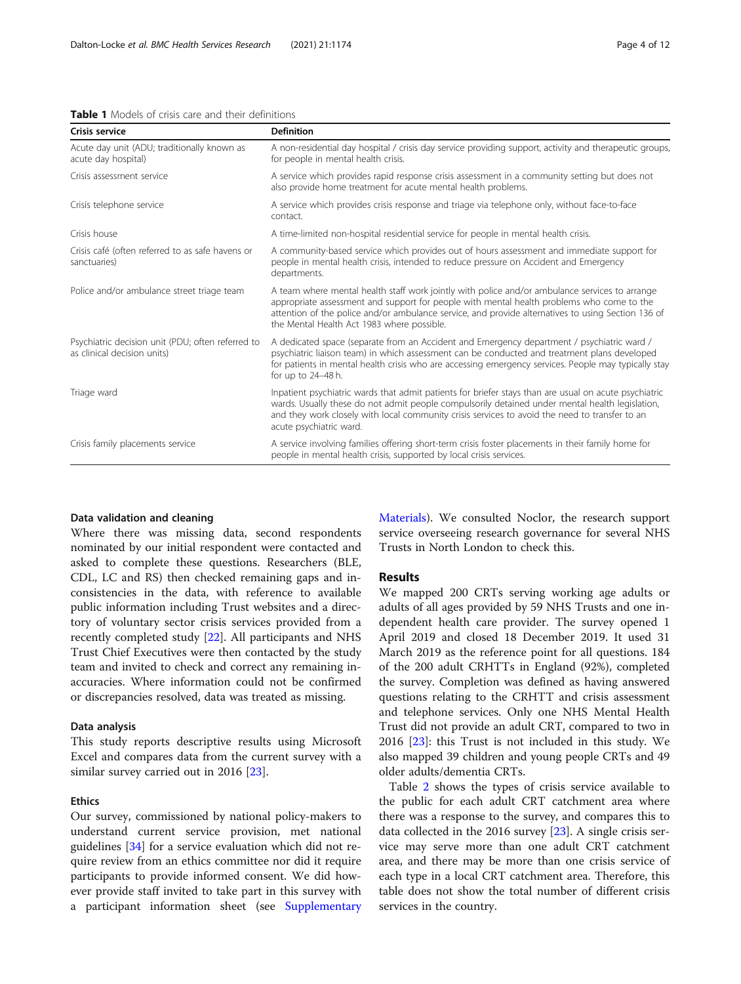<span id="page-3-0"></span>

acu

san

as clinical decision units)

| Crisis service                                                                   | <b>Definition</b>                                                                                                                                                                                                                                                                                                                               |  |
|----------------------------------------------------------------------------------|-------------------------------------------------------------------------------------------------------------------------------------------------------------------------------------------------------------------------------------------------------------------------------------------------------------------------------------------------|--|
| Acute day unit (ADU; traditionally known as<br>acute day hospital)               | A non-residential day hospital / crisis day service providing support, activity and therapeutic groups,<br>for people in mental health crisis.                                                                                                                                                                                                  |  |
| Crisis assessment service                                                        | A service which provides rapid response crisis assessment in a community setting but does not<br>also provide home treatment for acute mental health problems.                                                                                                                                                                                  |  |
| Crisis telephone service                                                         | A service which provides crisis response and triage via telephone only, without face-to-face<br>contact.                                                                                                                                                                                                                                        |  |
| Crisis house                                                                     | A time-limited non-hospital residential service for people in mental health crisis.                                                                                                                                                                                                                                                             |  |
| Crisis café (often referred to as safe havens or<br>sanctuaries)                 | A community-based service which provides out of hours assessment and immediate support for<br>people in mental health crisis, intended to reduce pressure on Accident and Emergency<br>departments.                                                                                                                                             |  |
| Police and/or ambulance street triage team                                       | A team where mental health staff work jointly with police and/or ambulance services to arrange<br>appropriate assessment and support for people with mental health problems who come to the<br>attention of the police and/or ambulance service, and provide alternatives to using Section 136 of<br>the Mental Health Act 1983 where possible. |  |
| Psychiatric decision unit (PDU; often referred to<br>as clinical decision units) | A dedicated space (separate from an Accident and Emergency department / psychiatric ward /<br>psychiatric liaison team) in which assessment can be conducted and treatment plans developed<br>for patients in mental health crisis who are accessing emergency services. People may typically stay<br>for up to 24-48 h.                        |  |
| Triage ward                                                                      | Inpatient psychiatric wards that admit patients for briefer stays than are usual on acute psychiatric<br>wards. Usually these do not admit people compulsorily detained under mental health legislation,<br>and they work closely with local community crisis services to avoid the need to transfer to an                                      |  |

acute psychiatric ward.

Crisis family placements service  $\blacksquare$  A service involving families offering short-term crisis foster placements in their family home for

#### Data validation and cleaning

Where there was missing data, second respondents nominated by our initial respondent were contacted and asked to complete these questions. Researchers (BLE, CDL, LC and RS) then checked remaining gaps and inconsistencies in the data, with reference to available public information including Trust websites and a directory of voluntary sector crisis services provided from a recently completed study [[22\]](#page-10-0). All participants and NHS Trust Chief Executives were then contacted by the study team and invited to check and correct any remaining inaccuracies. Where information could not be confirmed or discrepancies resolved, data was treated as missing.

#### Data analysis

This study reports descriptive results using Microsoft Excel and compares data from the current survey with a similar survey carried out in 2016 [[23\]](#page-10-0).

# Ethics

Our survey, commissioned by national policy-makers to understand current service provision, met national guidelines [[34\]](#page-11-0) for a service evaluation which did not require review from an ethics committee nor did it require participants to provide informed consent. We did however provide staff invited to take part in this survey with a participant information sheet (see [Supplementary](#page-9-0) [Materials\)](#page-9-0). We consulted Noclor, the research support service overseeing research governance for several NHS Trusts in North London to check this.

# Results

people in mental health crisis, supported by local crisis services.

We mapped 200 CRTs serving working age adults or adults of all ages provided by 59 NHS Trusts and one independent health care provider. The survey opened 1 April 2019 and closed 18 December 2019. It used 31 March 2019 as the reference point for all questions. 184 of the 200 adult CRHTTs in England (92%), completed the survey. Completion was defined as having answered questions relating to the CRHTT and crisis assessment and telephone services. Only one NHS Mental Health Trust did not provide an adult CRT, compared to two in 2016 [[23\]](#page-10-0): this Trust is not included in this study. We also mapped 39 children and young people CRTs and 49 older adults/dementia CRTs.

Table [2](#page-4-0) shows the types of crisis service available to the public for each adult CRT catchment area where there was a response to the survey, and compares this to data collected in the 2016 survey [\[23](#page-10-0)]. A single crisis service may serve more than one adult CRT catchment area, and there may be more than one crisis service of each type in a local CRT catchment area. Therefore, this table does not show the total number of different crisis services in the country.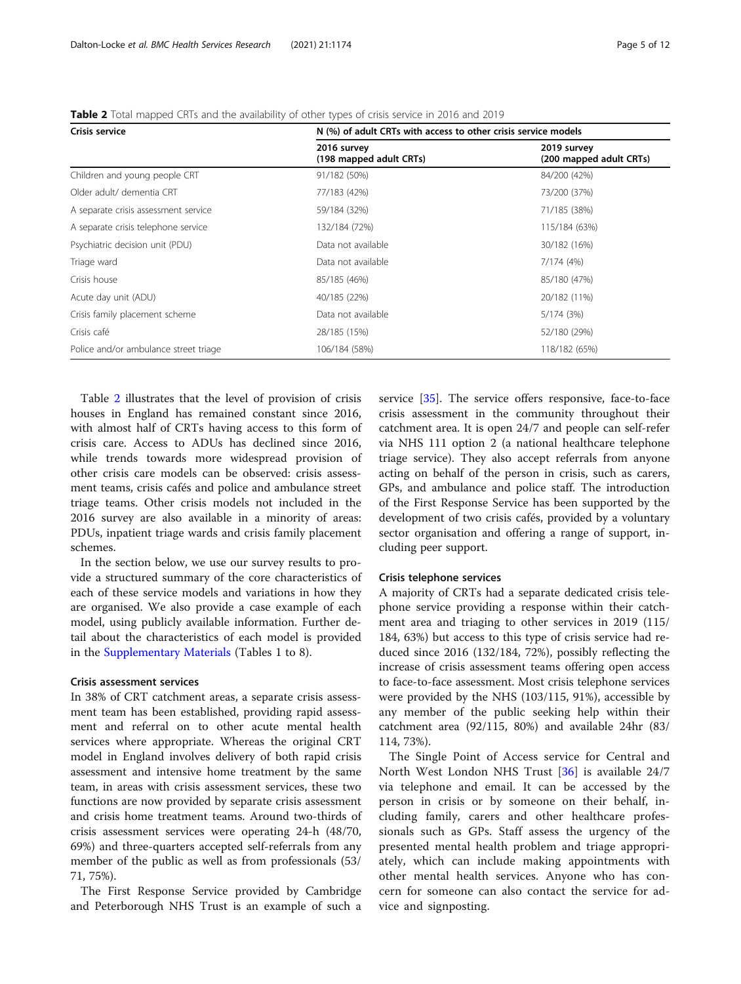| Crisis service                        | N (%) of adult CRTs with access to other crisis service models |                                        |
|---------------------------------------|----------------------------------------------------------------|----------------------------------------|
|                                       | 2016 survey<br>(198 mapped adult CRTs)                         | 2019 survey<br>(200 mapped adult CRTs) |
| Children and young people CRT         | 91/182 (50%)                                                   | 84/200 (42%)                           |
| Older adult/ dementia CRT             | 77/183 (42%)                                                   | 73/200 (37%)                           |
| A separate crisis assessment service  | 59/184 (32%)                                                   | 71/185 (38%)                           |
| A separate crisis telephone service   | 132/184 (72%)                                                  | 115/184 (63%)                          |
| Psychiatric decision unit (PDU)       | Data not available                                             | 30/182 (16%)                           |
| Triage ward                           | Data not available                                             | 7/174 (4%)                             |
| Crisis house                          | 85/185 (46%)                                                   | 85/180 (47%)                           |
| Acute day unit (ADU)                  | 40/185 (22%)                                                   | 20/182 (11%)                           |
| Crisis family placement scheme        | Data not available                                             | 5/174 (3%)                             |
| Crisis café                           | 28/185 (15%)                                                   | 52/180 (29%)                           |
| Police and/or ambulance street triage | 106/184 (58%)                                                  | 118/182 (65%)                          |

<span id="page-4-0"></span>Table 2 Total mapped CRTs and the availability of other types of crisis service in 2016 and 2019

Table 2 illustrates that the level of provision of crisis houses in England has remained constant since 2016, with almost half of CRTs having access to this form of crisis care. Access to ADUs has declined since 2016, while trends towards more widespread provision of other crisis care models can be observed: crisis assessment teams, crisis cafés and police and ambulance street triage teams. Other crisis models not included in the 2016 survey are also available in a minority of areas: PDUs, inpatient triage wards and crisis family placement schemes.

In the section below, we use our survey results to provide a structured summary of the core characteristics of each of these service models and variations in how they are organised. We also provide a case example of each model, using publicly available information. Further detail about the characteristics of each model is provided in the [Supplementary Materials](#page-9-0) (Tables 1 to 8).

### Crisis assessment services

In 38% of CRT catchment areas, a separate crisis assessment team has been established, providing rapid assessment and referral on to other acute mental health services where appropriate. Whereas the original CRT model in England involves delivery of both rapid crisis assessment and intensive home treatment by the same team, in areas with crisis assessment services, these two functions are now provided by separate crisis assessment and crisis home treatment teams. Around two-thirds of crisis assessment services were operating 24-h (48/70, 69%) and three-quarters accepted self-referrals from any member of the public as well as from professionals (53/ 71, 75%).

The First Response Service provided by Cambridge and Peterborough NHS Trust is an example of such a

service [\[35](#page-11-0)]. The service offers responsive, face-to-face crisis assessment in the community throughout their catchment area. It is open 24/7 and people can self-refer via NHS 111 option 2 (a national healthcare telephone triage service). They also accept referrals from anyone acting on behalf of the person in crisis, such as carers, GPs, and ambulance and police staff. The introduction of the First Response Service has been supported by the development of two crisis cafés, provided by a voluntary sector organisation and offering a range of support, including peer support.

#### Crisis telephone services

A majority of CRTs had a separate dedicated crisis telephone service providing a response within their catchment area and triaging to other services in 2019 (115/ 184, 63%) but access to this type of crisis service had reduced since 2016 (132/184, 72%), possibly reflecting the increase of crisis assessment teams offering open access to face-to-face assessment. Most crisis telephone services were provided by the NHS (103/115, 91%), accessible by any member of the public seeking help within their catchment area (92/115, 80%) and available 24hr (83/ 114, 73%).

The Single Point of Access service for Central and North West London NHS Trust [[36\]](#page-11-0) is available 24/7 via telephone and email. It can be accessed by the person in crisis or by someone on their behalf, including family, carers and other healthcare professionals such as GPs. Staff assess the urgency of the presented mental health problem and triage appropriately, which can include making appointments with other mental health services. Anyone who has concern for someone can also contact the service for advice and signposting.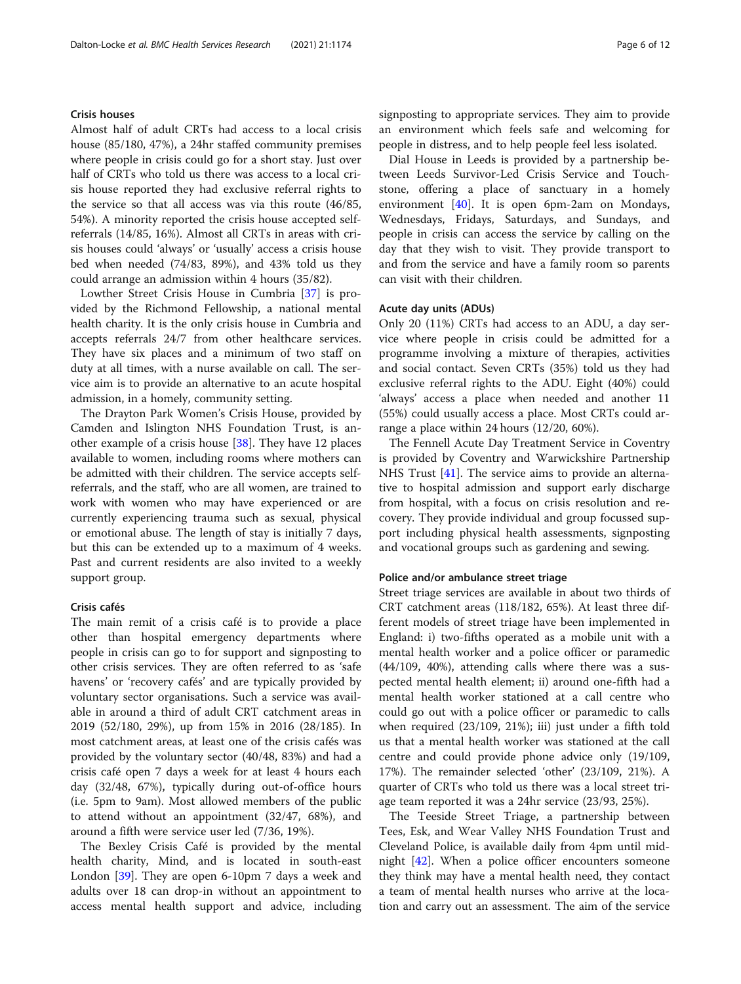# Crisis houses

Almost half of adult CRTs had access to a local crisis house (85/180, 47%), a 24hr staffed community premises where people in crisis could go for a short stay. Just over half of CRTs who told us there was access to a local crisis house reported they had exclusive referral rights to the service so that all access was via this route (46/85, 54%). A minority reported the crisis house accepted selfreferrals (14/85, 16%). Almost all CRTs in areas with crisis houses could 'always' or 'usually' access a crisis house bed when needed (74/83, 89%), and 43% told us they could arrange an admission within 4 hours (35/82).

Lowther Street Crisis House in Cumbria [[37\]](#page-11-0) is provided by the Richmond Fellowship, a national mental health charity. It is the only crisis house in Cumbria and accepts referrals 24/7 from other healthcare services. They have six places and a minimum of two staff on duty at all times, with a nurse available on call. The service aim is to provide an alternative to an acute hospital admission, in a homely, community setting.

The Drayton Park Women's Crisis House, provided by Camden and Islington NHS Foundation Trust, is another example of a crisis house  $[38]$  $[38]$ . They have 12 places available to women, including rooms where mothers can be admitted with their children. The service accepts selfreferrals, and the staff, who are all women, are trained to work with women who may have experienced or are currently experiencing trauma such as sexual, physical or emotional abuse. The length of stay is initially 7 days, but this can be extended up to a maximum of 4 weeks. Past and current residents are also invited to a weekly support group.

## Crisis cafés

The main remit of a crisis café is to provide a place other than hospital emergency departments where people in crisis can go to for support and signposting to other crisis services. They are often referred to as 'safe havens' or 'recovery cafés' and are typically provided by voluntary sector organisations. Such a service was available in around a third of adult CRT catchment areas in 2019 (52/180, 29%), up from 15% in 2016 (28/185). In most catchment areas, at least one of the crisis cafés was provided by the voluntary sector (40/48, 83%) and had a crisis café open 7 days a week for at least 4 hours each day (32/48, 67%), typically during out-of-office hours (i.e. 5pm to 9am). Most allowed members of the public to attend without an appointment (32/47, 68%), and around a fifth were service user led (7/36, 19%).

The Bexley Crisis Café is provided by the mental health charity, Mind, and is located in south-east London [\[39](#page-11-0)]. They are open 6-10pm 7 days a week and adults over 18 can drop-in without an appointment to access mental health support and advice, including signposting to appropriate services. They aim to provide an environment which feels safe and welcoming for people in distress, and to help people feel less isolated.

Dial House in Leeds is provided by a partnership between Leeds Survivor-Led Crisis Service and Touchstone, offering a place of sanctuary in a homely environment [[40\]](#page-11-0). It is open 6pm-2am on Mondays, Wednesdays, Fridays, Saturdays, and Sundays, and people in crisis can access the service by calling on the day that they wish to visit. They provide transport to and from the service and have a family room so parents can visit with their children.

# Acute day units (ADUs)

Only 20 (11%) CRTs had access to an ADU, a day service where people in crisis could be admitted for a programme involving a mixture of therapies, activities and social contact. Seven CRTs (35%) told us they had exclusive referral rights to the ADU. Eight (40%) could 'always' access a place when needed and another 11 (55%) could usually access a place. Most CRTs could arrange a place within 24 hours (12/20, 60%).

The Fennell Acute Day Treatment Service in Coventry is provided by Coventry and Warwickshire Partnership NHS Trust [\[41\]](#page-11-0). The service aims to provide an alternative to hospital admission and support early discharge from hospital, with a focus on crisis resolution and recovery. They provide individual and group focussed support including physical health assessments, signposting and vocational groups such as gardening and sewing.

#### Police and/or ambulance street triage

Street triage services are available in about two thirds of CRT catchment areas (118/182, 65%). At least three different models of street triage have been implemented in England: i) two-fifths operated as a mobile unit with a mental health worker and a police officer or paramedic (44/109, 40%), attending calls where there was a suspected mental health element; ii) around one-fifth had a mental health worker stationed at a call centre who could go out with a police officer or paramedic to calls when required (23/109, 21%); iii) just under a fifth told us that a mental health worker was stationed at the call centre and could provide phone advice only (19/109, 17%). The remainder selected 'other' (23/109, 21%). A quarter of CRTs who told us there was a local street triage team reported it was a 24hr service (23/93, 25%).

The Teeside Street Triage, a partnership between Tees, Esk, and Wear Valley NHS Foundation Trust and Cleveland Police, is available daily from 4pm until mid-night [[42\]](#page-11-0). When a police officer encounters someone they think may have a mental health need, they contact a team of mental health nurses who arrive at the location and carry out an assessment. The aim of the service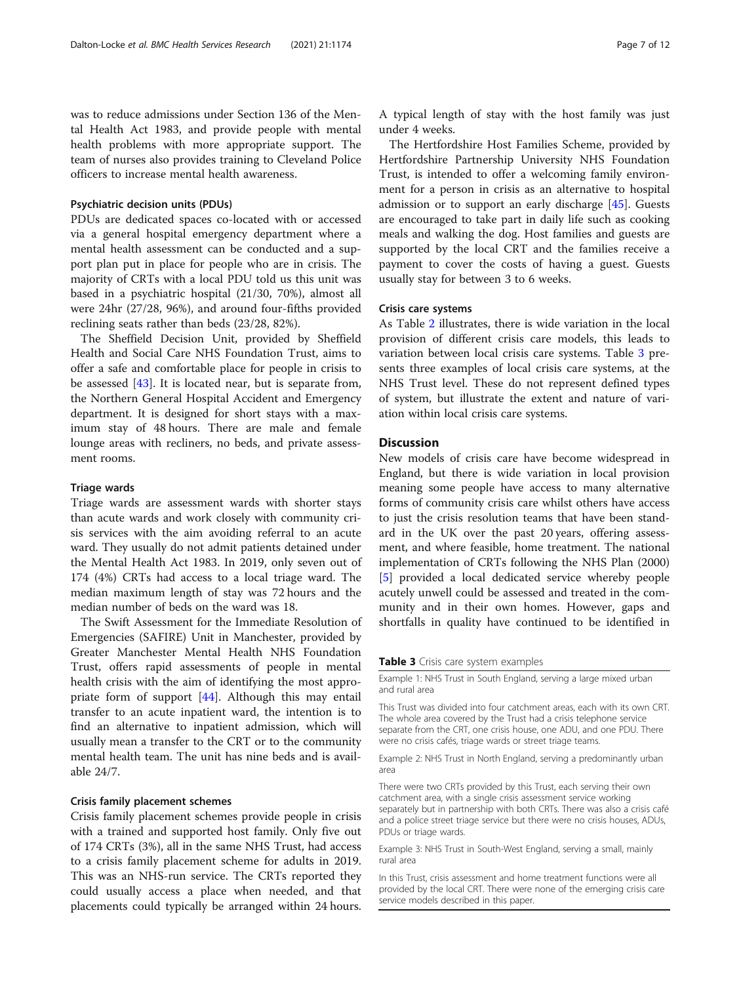was to reduce admissions under Section 136 of the Mental Health Act 1983, and provide people with mental health problems with more appropriate support. The team of nurses also provides training to Cleveland Police officers to increase mental health awareness.

# Psychiatric decision units (PDUs)

PDUs are dedicated spaces co-located with or accessed via a general hospital emergency department where a mental health assessment can be conducted and a support plan put in place for people who are in crisis. The majority of CRTs with a local PDU told us this unit was based in a psychiatric hospital (21/30, 70%), almost all were 24hr (27/28, 96%), and around four-fifths provided reclining seats rather than beds (23/28, 82%).

The Sheffield Decision Unit, provided by Sheffield Health and Social Care NHS Foundation Trust, aims to offer a safe and comfortable place for people in crisis to be assessed  $[43]$  $[43]$ . It is located near, but is separate from, the Northern General Hospital Accident and Emergency department. It is designed for short stays with a maximum stay of 48 hours. There are male and female lounge areas with recliners, no beds, and private assessment rooms.

#### Triage wards

Triage wards are assessment wards with shorter stays than acute wards and work closely with community crisis services with the aim avoiding referral to an acute ward. They usually do not admit patients detained under the Mental Health Act 1983. In 2019, only seven out of 174 (4%) CRTs had access to a local triage ward. The median maximum length of stay was 72 hours and the median number of beds on the ward was 18.

The Swift Assessment for the Immediate Resolution of Emergencies (SAFIRE) Unit in Manchester, provided by Greater Manchester Mental Health NHS Foundation Trust, offers rapid assessments of people in mental health crisis with the aim of identifying the most appropriate form of support [[44](#page-11-0)]. Although this may entail transfer to an acute inpatient ward, the intention is to find an alternative to inpatient admission, which will usually mean a transfer to the CRT or to the community mental health team. The unit has nine beds and is available 24/7.

# Crisis family placement schemes

Crisis family placement schemes provide people in crisis with a trained and supported host family. Only five out of 174 CRTs (3%), all in the same NHS Trust, had access to a crisis family placement scheme for adults in 2019. This was an NHS-run service. The CRTs reported they could usually access a place when needed, and that placements could typically be arranged within 24 hours. A typical length of stay with the host family was just under 4 weeks.

The Hertfordshire Host Families Scheme, provided by Hertfordshire Partnership University NHS Foundation Trust, is intended to offer a welcoming family environment for a person in crisis as an alternative to hospital admission or to support an early discharge [[45\]](#page-11-0). Guests are encouraged to take part in daily life such as cooking meals and walking the dog. Host families and guests are supported by the local CRT and the families receive a payment to cover the costs of having a guest. Guests usually stay for between 3 to 6 weeks.

### Crisis care systems

As Table [2](#page-4-0) illustrates, there is wide variation in the local provision of different crisis care models, this leads to variation between local crisis care systems. Table 3 presents three examples of local crisis care systems, at the NHS Trust level. These do not represent defined types of system, but illustrate the extent and nature of variation within local crisis care systems.

#### **Discussion**

New models of crisis care have become widespread in England, but there is wide variation in local provision meaning some people have access to many alternative forms of community crisis care whilst others have access to just the crisis resolution teams that have been standard in the UK over the past 20 years, offering assessment, and where feasible, home treatment. The national implementation of CRTs following the NHS Plan (2000) [[5\]](#page-10-0) provided a local dedicated service whereby people acutely unwell could be assessed and treated in the community and in their own homes. However, gaps and shortfalls in quality have continued to be identified in

### Table 3 Crisis care system examples

Example 1: NHS Trust in South England, serving a large mixed urban and rural area

This Trust was divided into four catchment areas, each with its own CRT. The whole area covered by the Trust had a crisis telephone service separate from the CRT, one crisis house, one ADU, and one PDU. There were no crisis cafés, triage wards or street triage teams.

Example 2: NHS Trust in North England, serving a predominantly urban area

There were two CRTs provided by this Trust, each serving their own catchment area, with a single crisis assessment service working separately but in partnership with both CRTs. There was also a crisis café and a police street triage service but there were no crisis houses, ADUs, PDUs or triage wards.

Example 3: NHS Trust in South-West England, serving a small, mainly rural area

In this Trust, crisis assessment and home treatment functions were all provided by the local CRT. There were none of the emerging crisis care service models described in this paper.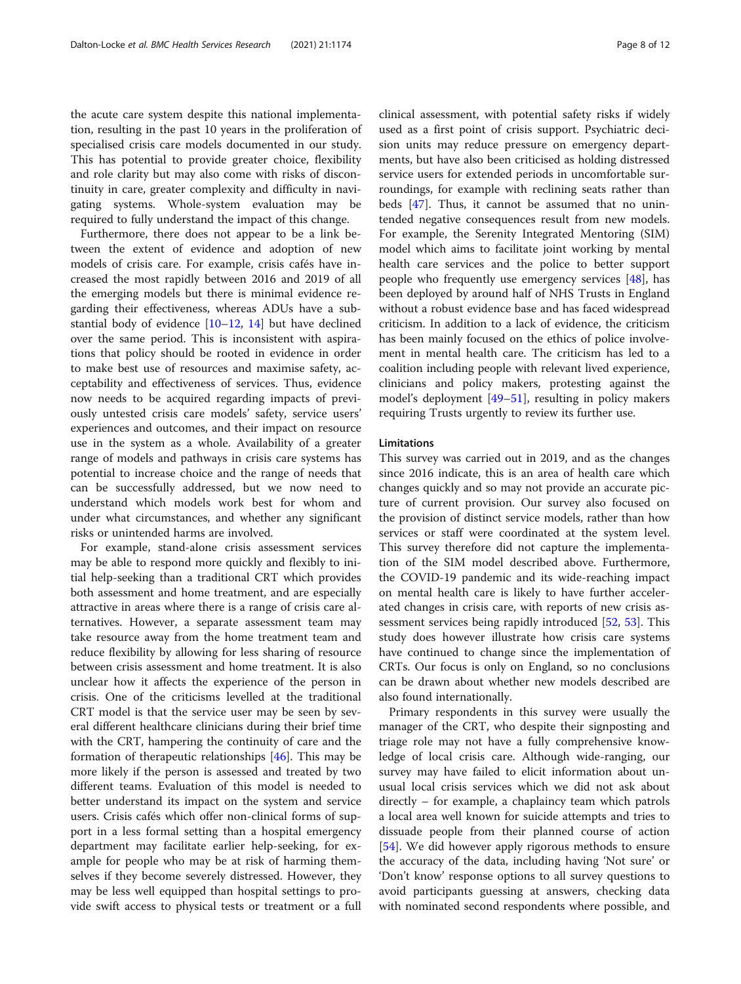the acute care system despite this national implementation, resulting in the past 10 years in the proliferation of specialised crisis care models documented in our study. This has potential to provide greater choice, flexibility and role clarity but may also come with risks of discontinuity in care, greater complexity and difficulty in navigating systems. Whole-system evaluation may be required to fully understand the impact of this change.

Furthermore, there does not appear to be a link between the extent of evidence and adoption of new models of crisis care. For example, crisis cafés have increased the most rapidly between 2016 and 2019 of all the emerging models but there is minimal evidence regarding their effectiveness, whereas ADUs have a substantial body of evidence  $[10-12, 14]$  $[10-12, 14]$  $[10-12, 14]$  $[10-12, 14]$  $[10-12, 14]$  $[10-12, 14]$  $[10-12, 14]$  but have declined over the same period. This is inconsistent with aspirations that policy should be rooted in evidence in order to make best use of resources and maximise safety, acceptability and effectiveness of services. Thus, evidence now needs to be acquired regarding impacts of previously untested crisis care models' safety, service users' experiences and outcomes, and their impact on resource use in the system as a whole. Availability of a greater range of models and pathways in crisis care systems has potential to increase choice and the range of needs that can be successfully addressed, but we now need to understand which models work best for whom and under what circumstances, and whether any significant risks or unintended harms are involved.

For example, stand-alone crisis assessment services may be able to respond more quickly and flexibly to initial help-seeking than a traditional CRT which provides both assessment and home treatment, and are especially attractive in areas where there is a range of crisis care alternatives. However, a separate assessment team may take resource away from the home treatment team and reduce flexibility by allowing for less sharing of resource between crisis assessment and home treatment. It is also unclear how it affects the experience of the person in crisis. One of the criticisms levelled at the traditional CRT model is that the service user may be seen by several different healthcare clinicians during their brief time with the CRT, hampering the continuity of care and the formation of therapeutic relationships [\[46](#page-11-0)]. This may be more likely if the person is assessed and treated by two different teams. Evaluation of this model is needed to better understand its impact on the system and service users. Crisis cafés which offer non-clinical forms of support in a less formal setting than a hospital emergency department may facilitate earlier help-seeking, for example for people who may be at risk of harming themselves if they become severely distressed. However, they may be less well equipped than hospital settings to provide swift access to physical tests or treatment or a full clinical assessment, with potential safety risks if widely used as a first point of crisis support. Psychiatric decision units may reduce pressure on emergency departments, but have also been criticised as holding distressed service users for extended periods in uncomfortable surroundings, for example with reclining seats rather than beds [[47](#page-11-0)]. Thus, it cannot be assumed that no unintended negative consequences result from new models. For example, the Serenity Integrated Mentoring (SIM) model which aims to facilitate joint working by mental health care services and the police to better support people who frequently use emergency services  $[48]$ , has been deployed by around half of NHS Trusts in England without a robust evidence base and has faced widespread criticism. In addition to a lack of evidence, the criticism has been mainly focused on the ethics of police involvement in mental health care. The criticism has led to a coalition including people with relevant lived experience, clinicians and policy makers, protesting against the model's deployment [[49](#page-11-0)–[51](#page-11-0)], resulting in policy makers requiring Trusts urgently to review its further use.

# Limitations

This survey was carried out in 2019, and as the changes since 2016 indicate, this is an area of health care which changes quickly and so may not provide an accurate picture of current provision. Our survey also focused on the provision of distinct service models, rather than how services or staff were coordinated at the system level. This survey therefore did not capture the implementation of the SIM model described above. Furthermore, the COVID-19 pandemic and its wide-reaching impact on mental health care is likely to have further accelerated changes in crisis care, with reports of new crisis assessment services being rapidly introduced [[52,](#page-11-0) [53\]](#page-11-0). This study does however illustrate how crisis care systems have continued to change since the implementation of CRTs. Our focus is only on England, so no conclusions can be drawn about whether new models described are also found internationally.

Primary respondents in this survey were usually the manager of the CRT, who despite their signposting and triage role may not have a fully comprehensive knowledge of local crisis care. Although wide-ranging, our survey may have failed to elicit information about unusual local crisis services which we did not ask about directly – for example, a chaplaincy team which patrols a local area well known for suicide attempts and tries to dissuade people from their planned course of action [[54\]](#page-11-0). We did however apply rigorous methods to ensure the accuracy of the data, including having 'Not sure' or 'Don't know' response options to all survey questions to avoid participants guessing at answers, checking data with nominated second respondents where possible, and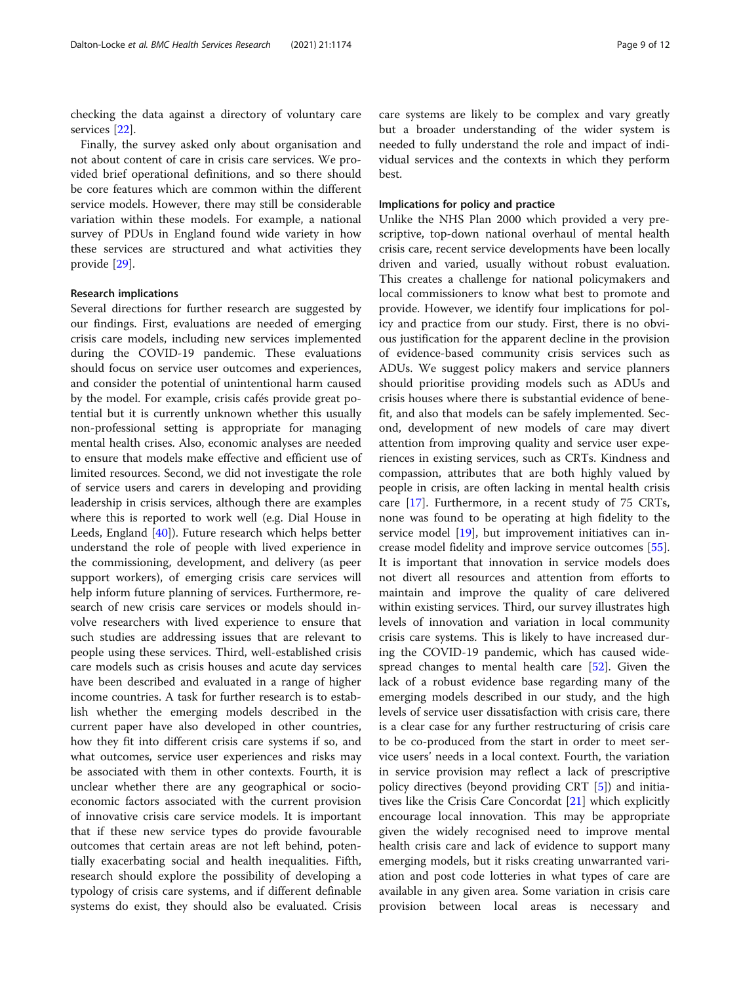checking the data against a directory of voluntary care services [\[22](#page-10-0)].

Finally, the survey asked only about organisation and not about content of care in crisis care services. We provided brief operational definitions, and so there should be core features which are common within the different service models. However, there may still be considerable variation within these models. For example, a national survey of PDUs in England found wide variety in how these services are structured and what activities they provide [\[29](#page-10-0)].

# Research implications

Several directions for further research are suggested by our findings. First, evaluations are needed of emerging crisis care models, including new services implemented during the COVID-19 pandemic. These evaluations should focus on service user outcomes and experiences, and consider the potential of unintentional harm caused by the model. For example, crisis cafés provide great potential but it is currently unknown whether this usually non-professional setting is appropriate for managing mental health crises. Also, economic analyses are needed to ensure that models make effective and efficient use of limited resources. Second, we did not investigate the role of service users and carers in developing and providing leadership in crisis services, although there are examples where this is reported to work well (e.g. Dial House in Leeds, England [\[40\]](#page-11-0)). Future research which helps better understand the role of people with lived experience in the commissioning, development, and delivery (as peer support workers), of emerging crisis care services will help inform future planning of services. Furthermore, research of new crisis care services or models should involve researchers with lived experience to ensure that such studies are addressing issues that are relevant to people using these services. Third, well-established crisis care models such as crisis houses and acute day services have been described and evaluated in a range of higher income countries. A task for further research is to establish whether the emerging models described in the current paper have also developed in other countries, how they fit into different crisis care systems if so, and what outcomes, service user experiences and risks may be associated with them in other contexts. Fourth, it is unclear whether there are any geographical or socioeconomic factors associated with the current provision of innovative crisis care service models. It is important that if these new service types do provide favourable outcomes that certain areas are not left behind, potentially exacerbating social and health inequalities. Fifth, research should explore the possibility of developing a typology of crisis care systems, and if different definable systems do exist, they should also be evaluated. Crisis care systems are likely to be complex and vary greatly but a broader understanding of the wider system is needed to fully understand the role and impact of individual services and the contexts in which they perform best.

# Implications for policy and practice

Unlike the NHS Plan 2000 which provided a very prescriptive, top-down national overhaul of mental health crisis care, recent service developments have been locally driven and varied, usually without robust evaluation. This creates a challenge for national policymakers and local commissioners to know what best to promote and provide. However, we identify four implications for policy and practice from our study. First, there is no obvious justification for the apparent decline in the provision of evidence-based community crisis services such as ADUs. We suggest policy makers and service planners should prioritise providing models such as ADUs and crisis houses where there is substantial evidence of benefit, and also that models can be safely implemented. Second, development of new models of care may divert attention from improving quality and service user experiences in existing services, such as CRTs. Kindness and compassion, attributes that are both highly valued by people in crisis, are often lacking in mental health crisis care [\[17](#page-10-0)]. Furthermore, in a recent study of 75 CRTs, none was found to be operating at high fidelity to the service model [\[19](#page-10-0)], but improvement initiatives can increase model fidelity and improve service outcomes [\[55](#page-11-0)]. It is important that innovation in service models does not divert all resources and attention from efforts to maintain and improve the quality of care delivered within existing services. Third, our survey illustrates high levels of innovation and variation in local community crisis care systems. This is likely to have increased during the COVID-19 pandemic, which has caused widespread changes to mental health care [\[52\]](#page-11-0). Given the lack of a robust evidence base regarding many of the emerging models described in our study, and the high levels of service user dissatisfaction with crisis care, there is a clear case for any further restructuring of crisis care to be co-produced from the start in order to meet service users' needs in a local context. Fourth, the variation in service provision may reflect a lack of prescriptive policy directives (beyond providing CRT [[5](#page-10-0)]) and initiatives like the Crisis Care Concordat [\[21\]](#page-10-0) which explicitly encourage local innovation. This may be appropriate given the widely recognised need to improve mental health crisis care and lack of evidence to support many emerging models, but it risks creating unwarranted variation and post code lotteries in what types of care are available in any given area. Some variation in crisis care provision between local areas is necessary and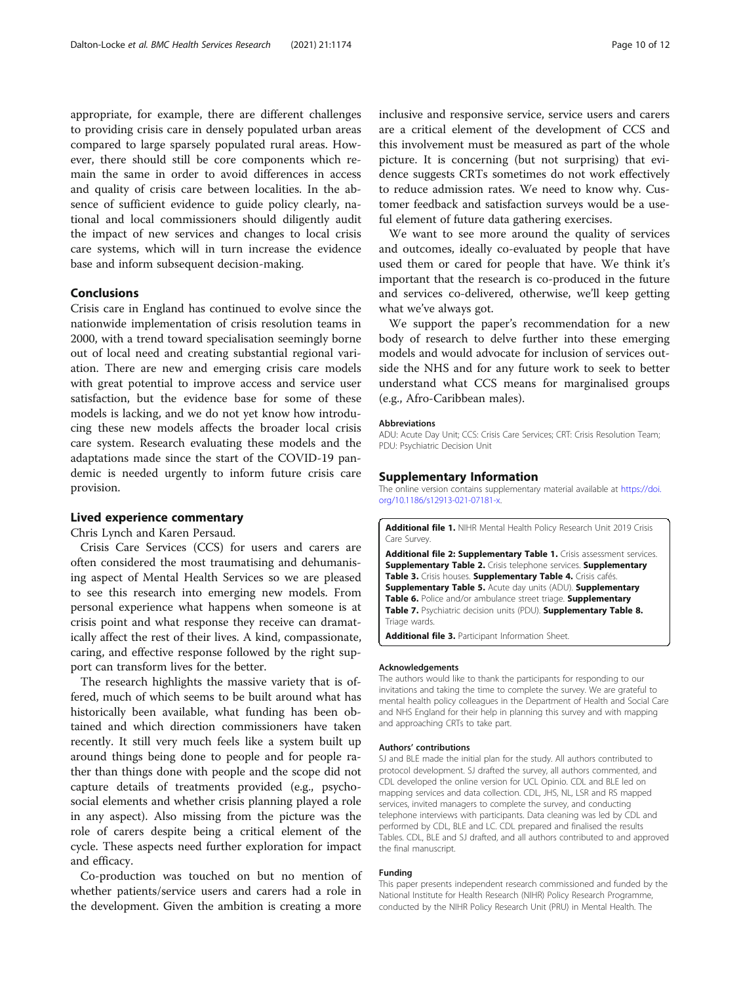<span id="page-9-0"></span>appropriate, for example, there are different challenges to providing crisis care in densely populated urban areas compared to large sparsely populated rural areas. However, there should still be core components which remain the same in order to avoid differences in access and quality of crisis care between localities. In the absence of sufficient evidence to guide policy clearly, national and local commissioners should diligently audit the impact of new services and changes to local crisis care systems, which will in turn increase the evidence

base and inform subsequent decision-making.

#### Conclusions

Crisis care in England has continued to evolve since the nationwide implementation of crisis resolution teams in 2000, with a trend toward specialisation seemingly borne out of local need and creating substantial regional variation. There are new and emerging crisis care models with great potential to improve access and service user satisfaction, but the evidence base for some of these models is lacking, and we do not yet know how introducing these new models affects the broader local crisis care system. Research evaluating these models and the adaptations made since the start of the COVID-19 pandemic is needed urgently to inform future crisis care provision.

#### Lived experience commentary

Chris Lynch and Karen Persaud.

Crisis Care Services (CCS) for users and carers are often considered the most traumatising and dehumanising aspect of Mental Health Services so we are pleased to see this research into emerging new models. From personal experience what happens when someone is at crisis point and what response they receive can dramatically affect the rest of their lives. A kind, compassionate, caring, and effective response followed by the right support can transform lives for the better.

The research highlights the massive variety that is offered, much of which seems to be built around what has historically been available, what funding has been obtained and which direction commissioners have taken recently. It still very much feels like a system built up around things being done to people and for people rather than things done with people and the scope did not capture details of treatments provided (e.g., psychosocial elements and whether crisis planning played a role in any aspect). Also missing from the picture was the role of carers despite being a critical element of the cycle. These aspects need further exploration for impact and efficacy.

Co-production was touched on but no mention of whether patients/service users and carers had a role in the development. Given the ambition is creating a more

inclusive and responsive service, service users and carers are a critical element of the development of CCS and this involvement must be measured as part of the whole picture. It is concerning (but not surprising) that evidence suggests CRTs sometimes do not work effectively to reduce admission rates. We need to know why. Customer feedback and satisfaction surveys would be a useful element of future data gathering exercises.

We want to see more around the quality of services and outcomes, ideally co-evaluated by people that have used them or cared for people that have. We think it's important that the research is co-produced in the future and services co-delivered, otherwise, we'll keep getting what we've always got.

We support the paper's recommendation for a new body of research to delve further into these emerging models and would advocate for inclusion of services outside the NHS and for any future work to seek to better understand what CCS means for marginalised groups (e.g., Afro-Caribbean males).

#### Abbreviations

ADU: Acute Day Unit; CCS: Crisis Care Services; CRT: Crisis Resolution Team; PDU: Psychiatric Decision Unit

#### Supplementary Information

The online version contains supplementary material available at [https://doi.](https://doi.org/10.1186/s12913-021-07181-x) [org/10.1186/s12913-021-07181-x](https://doi.org/10.1186/s12913-021-07181-x).

Additional file 1. NIHR Mental Health Policy Research Unit 2019 Crisis Care Survey.

Additional file 2: Supplementary Table 1. Crisis assessment services. **Supplementary Table 2.** Crisis telephone services. Supplementary Table 3. Crisis houses. Supplementary Table 4. Crisis cafés. Supplementary Table 5. Acute day units (ADU). Supplementary Table 6. Police and/or ambulance street triage. Supplementary Table 7. Psychiatric decision units (PDU). Supplementary Table 8. Triage wards.

Additional file 3. Participant Information Sheet.

#### Acknowledgements

The authors would like to thank the participants for responding to our invitations and taking the time to complete the survey. We are grateful to mental health policy colleagues in the Department of Health and Social Care and NHS England for their help in planning this survey and with mapping and approaching CRTs to take part.

#### Authors' contributions

SJ and BLE made the initial plan for the study. All authors contributed to protocol development. SJ drafted the survey, all authors commented, and CDL developed the online version for UCL Opinio. CDL and BLE led on mapping services and data collection. CDL, JHS, NL, LSR and RS mapped services, invited managers to complete the survey, and conducting telephone interviews with participants. Data cleaning was led by CDL and performed by CDL, BLE and LC. CDL prepared and finalised the results Tables. CDL, BLE and SJ drafted, and all authors contributed to and approved the final manuscript.

#### Funding

This paper presents independent research commissioned and funded by the National Institute for Health Research (NIHR) Policy Research Programme, conducted by the NIHR Policy Research Unit (PRU) in Mental Health. The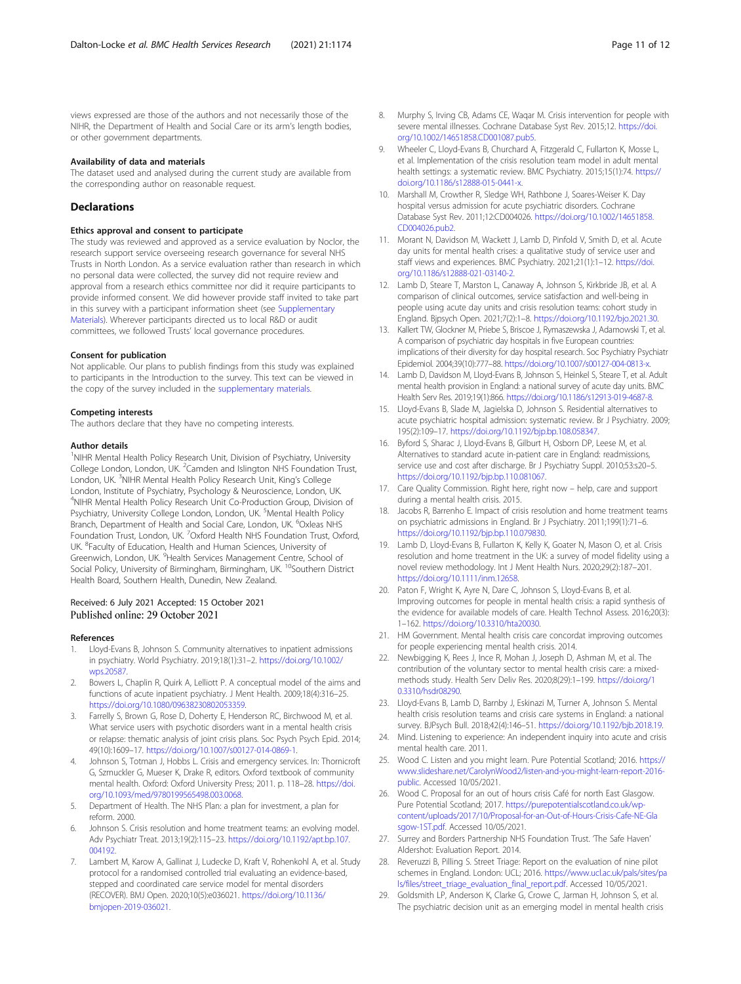<span id="page-10-0"></span>views expressed are those of the authors and not necessarily those of the NIHR, the Department of Health and Social Care or its arm's length bodies, or other government departments.

### Availability of data and materials

The dataset used and analysed during the current study are available from the corresponding author on reasonable request.

### **Declarations**

# Ethics approval and consent to participate

The study was reviewed and approved as a service evaluation by Noclor, the research support service overseeing research governance for several NHS Trusts in North London. As a service evaluation rather than research in which no personal data were collected, the survey did not require review and approval from a research ethics committee nor did it require participants to provide informed consent. We did however provide staff invited to take part in this survey with a participant information sheet (see [Supplementary](#page-9-0) [Materials](#page-9-0)). Wherever participants directed us to local R&D or audit committees, we followed Trusts' local governance procedures.

#### Consent for publication

Not applicable. Our plans to publish findings from this study was explained to participants in the Introduction to the survey. This text can be viewed in the copy of the survey included in the [supplementary materials](#page-9-0).

#### Competing interests

The authors declare that they have no competing interests.

#### Author details

<sup>1</sup>NIHR Mental Health Policy Research Unit, Division of Psychiatry, University College London, London, UK. <sup>2</sup> Camden and Islington NHS Foundation Trust, London, UK. <sup>3</sup>NIHR Mental Health Policy Research Unit, King's College London, Institute of Psychiatry, Psychology & Neuroscience, London, UK. 4 NIHR Mental Health Policy Research Unit Co-Production Group, Division of Psychiatry, University College London, London, UK. <sup>5</sup>Mental Health Policy Branch, Department of Health and Social Care, London, UK. <sup>6</sup>Oxleas NHS Foundation Trust, London, UK. <sup>7</sup>Oxford Health NHS Foundation Trust, Oxford, UK. <sup>8</sup>Faculty of Education, Health and Human Sciences, University of Greenwich, London, UK. <sup>9</sup>Health Services Management Centre, School of Social Policy, University of Birmingham, Birmingham, UK. <sup>10</sup>Southern District Health Board, Southern Health, Dunedin, New Zealand.

#### Received: 6 July 2021 Accepted: 15 October 2021 Published online: 29 October 2021

#### References

- Lloyd-Evans B, Johnson S. Community alternatives to inpatient admissions in psychiatry. World Psychiatry. 2019;18(1):31–2. [https://doi.org/10.1002/](https://doi.org/10.1002/wps.20587) [wps.20587.](https://doi.org/10.1002/wps.20587)
- 2. Bowers L, Chaplin R, Quirk A, Lelliott P. A conceptual model of the aims and functions of acute inpatient psychiatry. J Ment Health. 2009;18(4):316–25. [https://doi.org/10.1080/09638230802053359.](https://doi.org/10.1080/09638230802053359)
- 3. Farrelly S, Brown G, Rose D, Doherty E, Henderson RC, Birchwood M, et al. What service users with psychotic disorders want in a mental health crisis or relapse: thematic analysis of joint crisis plans. Soc Psych Psych Epid. 2014; 49(10):1609–17. [https://doi.org/10.1007/s00127-014-0869-1.](https://doi.org/10.1007/s00127-014-0869-1)
- Johnson S, Totman J, Hobbs L. Crisis and emergency services. In: Thornicroft G, Szmuckler G, Mueser K, Drake R, editors. Oxford textbook of community mental health. Oxford: Oxford University Press; 2011. p. 118–28. [https://doi.](https://doi.org/10.1093/med/9780199565498.003.0068) [org/10.1093/med/9780199565498.003.0068](https://doi.org/10.1093/med/9780199565498.003.0068).
- 5. Department of Health. The NHS Plan: a plan for investment, a plan for reform. 2000.
- 6. Johnson S. Crisis resolution and home treatment teams: an evolving model. Adv Psychiatr Treat. 2013;19(2):115–23. [https://doi.org/10.1192/apt.bp.107.](https://doi.org/10.1192/apt.bp.107.004192) [004192](https://doi.org/10.1192/apt.bp.107.004192).
- Lambert M, Karow A, Gallinat J, Ludecke D, Kraft V, Rohenkohl A, et al. Study protocol for a randomised controlled trial evaluating an evidence-based, stepped and coordinated care service model for mental disorders (RECOVER). BMJ Open. 2020;10(5):e036021. [https://doi.org/10.1136/](https://doi.org/10.1136/bmjopen-2019-036021) [bmjopen-2019-036021.](https://doi.org/10.1136/bmjopen-2019-036021)
- 8. Murphy S, Irving CB, Adams CE, Waqar M. Crisis intervention for people with severe mental illnesses. Cochrane Database Syst Rev. 2015;12. [https://doi.](https://doi.org/10.1002/14651858.CD001087.pub5) [org/10.1002/14651858.CD001087.pub5.](https://doi.org/10.1002/14651858.CD001087.pub5)
- Wheeler C, Lloyd-Evans B, Churchard A, Fitzgerald C, Fullarton K, Mosse L, et al. Implementation of the crisis resolution team model in adult mental health settings: a systematic review. BMC Psychiatry. 2015;15(1):74. [https://](https://doi.org/10.1186/s12888-015-0441-x) [doi.org/10.1186/s12888-015-0441-x](https://doi.org/10.1186/s12888-015-0441-x).
- 10. Marshall M, Crowther R, Sledge WH, Rathbone J, Soares-Weiser K. Day hospital versus admission for acute psychiatric disorders. Cochrane Database Syst Rev. 2011;12:CD004026. [https://doi.org/10.1002/14651858.](https://doi.org/10.1002/14651858.CD004026.pub2) [CD004026.pub2.](https://doi.org/10.1002/14651858.CD004026.pub2)
- 11. Morant N, Davidson M, Wackett J, Lamb D, Pinfold V, Smith D, et al. Acute day units for mental health crises: a qualitative study of service user and staff views and experiences. BMC Psychiatry. 2021;21(1):1–12. [https://doi.](https://doi.org/10.1186/s12888-021-03140-2) [org/10.1186/s12888-021-03140-2.](https://doi.org/10.1186/s12888-021-03140-2)
- 12. Lamb D, Steare T, Marston L, Canaway A, Johnson S, Kirkbride JB, et al. A comparison of clinical outcomes, service satisfaction and well-being in people using acute day units and crisis resolution teams: cohort study in England. Bjpsych Open. 2021;7(2):1–8. <https://doi.org/10.1192/bjo.2021.30>.
- 13. Kallert TW, Glockner M, Priebe S, Briscoe J, Rymaszewska J, Adamowski T, et al. A comparison of psychiatric day hospitals in five European countries: implications of their diversity for day hospital research. Soc Psychiatry Psychiatr Epidemiol. 2004;39(10):777–88. <https://doi.org/10.1007/s00127-004-0813-x>.
- 14. Lamb D, Davidson M, Lloyd-Evans B, Johnson S, Heinkel S, Steare T, et al. Adult mental health provision in England: a national survey of acute day units. BMC Health Serv Res. 2019;19(1):866. <https://doi.org/10.1186/s12913-019-4687-8>.
- 15. Lloyd-Evans B, Slade M, Jagielska D, Johnson S. Residential alternatives to acute psychiatric hospital admission: systematic review. Br J Psychiatry. 2009; 195(2):109–17. [https://doi.org/10.1192/bjp.bp.108.058347.](https://doi.org/10.1192/bjp.bp.108.058347)
- 16. Byford S, Sharac J, Lloyd-Evans B, Gilburt H, Osborn DP, Leese M, et al. Alternatives to standard acute in-patient care in England: readmissions, service use and cost after discharge. Br J Psychiatry Suppl. 2010;53:s20–5. <https://doi.org/10.1192/bjp.bp.110.081067>.
- 17. Care Quality Commission. Right here, right now help, care and support during a mental health crisis. 2015.
- 18. Jacobs R, Barrenho E. Impact of crisis resolution and home treatment teams on psychiatric admissions in England. Br J Psychiatry. 2011;199(1):71–6. <https://doi.org/10.1192/bjp.bp.110.079830>.
- 19. Lamb D, Lloyd-Evans B, Fullarton K, Kelly K, Goater N, Mason O, et al. Crisis resolution and home treatment in the UK: a survey of model fidelity using a novel review methodology. Int J Ment Health Nurs. 2020;29(2):187–201. <https://doi.org/10.1111/inm.12658>.
- 20. Paton F, Wright K, Ayre N, Dare C, Johnson S, Lloyd-Evans B, et al. Improving outcomes for people in mental health crisis: a rapid synthesis of the evidence for available models of care. Health Technol Assess. 2016;20(3): 1–162. [https://doi.org/10.3310/hta20030.](https://doi.org/10.3310/hta20030)
- 21. HM Government. Mental health crisis care concordat improving outcomes for people experiencing mental health crisis. 2014.
- 22. Newbigging K, Rees J, Ince R, Mohan J, Joseph D, Ashman M, et al. The contribution of the voluntary sector to mental health crisis care: a mixedmethods study. Health Serv Deliv Res. 2020;8(29):1–199. [https://doi.org/1](https://doi.org/10.3310/hsdr08290) [0.3310/hsdr08290.](https://doi.org/10.3310/hsdr08290)
- 23. Lloyd-Evans B, Lamb D, Barnby J, Eskinazi M, Turner A, Johnson S. Mental health crisis resolution teams and crisis care systems in England: a national survey. BJPsych Bull. 2018;42(4):146–51. <https://doi.org/10.1192/bjb.2018.19>.
- 24. Mind. Listening to experience: An independent inquiry into acute and crisis mental health care. 2011.
- 25. Wood C. Listen and you might learn. Pure Potential Scotland; 2016. [https://](https://www.slideshare.net/CarolynWood2/listen-and-you-might-learn-report-2016-public) [www.slideshare.net/CarolynWood2/listen-and-you-might-learn-report-2016](https://www.slideshare.net/CarolynWood2/listen-and-you-might-learn-report-2016-public) [public](https://www.slideshare.net/CarolynWood2/listen-and-you-might-learn-report-2016-public). Accessed 10/05/2021.
- 26. Wood C. Proposal for an out of hours crisis Café for north East Glasgow. Pure Potential Scotland; 2017. [https://purepotentialscotland.co.uk/wp](https://purepotentialscotland.co.uk/wp-content/uploads/2017/10/Proposal-for-an-Out-of-Hours-Crisis-Cafe-NE-Glasgow-1ST.pdf)[content/uploads/2017/10/Proposal-for-an-Out-of-Hours-Crisis-Cafe-NE-Gla](https://purepotentialscotland.co.uk/wp-content/uploads/2017/10/Proposal-for-an-Out-of-Hours-Crisis-Cafe-NE-Glasgow-1ST.pdf) [sgow-1ST.pdf.](https://purepotentialscotland.co.uk/wp-content/uploads/2017/10/Proposal-for-an-Out-of-Hours-Crisis-Cafe-NE-Glasgow-1ST.pdf) Accessed 10/05/2021.
- 27. Surrey and Borders Partnership NHS Foundation Trust. The Safe Haven' Aldershot: Evaluation Report. 2014.
- 28. Reveruzzi B, Pilling S. Street Triage: Report on the evaluation of nine pilot schemes in England. London: UCL; 2016. [https://www.ucl.ac.uk/pals/sites/pa](https://www.ucl.ac.uk/pals/sites/pals/files/street_triage_evaluation_final_report.pdf) [ls/files/street\\_triage\\_evaluation\\_final\\_report.pdf](https://www.ucl.ac.uk/pals/sites/pals/files/street_triage_evaluation_final_report.pdf). Accessed 10/05/2021.
- 29. Goldsmith LP, Anderson K, Clarke G, Crowe C, Jarman H, Johnson S, et al. The psychiatric decision unit as an emerging model in mental health crisis